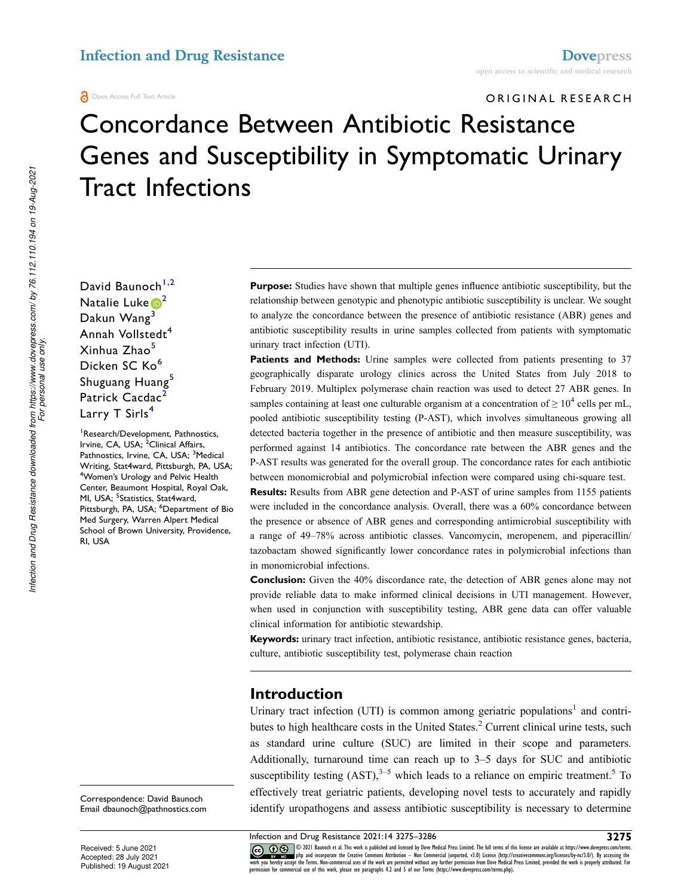#### Open Access Full Text Article

ORIGINAL RESEARCH

# Concordance Between Antibiotic Resistance Genes and Susceptibility in Symptomatic Urinary Tract Infections

David Baunoch<sup>[1,](#page-0-0)2</sup> Natalie Luke  $\mathbb{D}^2$ Dakun Wang<sup>3</sup> Annah Vollstedt<sup>4</sup> Xinhua Zhao<sup>[5](#page-0-4)</sup> Dicken SC Ko<sup>6</sup> Shuguang Huang<sup>[5](#page-0-4)</sup> Patrick Cacdac<sup>2</sup> Larry T Sirls<sup>[4](#page-0-3)</sup>

<span id="page-0-5"></span><span id="page-0-4"></span><span id="page-0-3"></span><span id="page-0-2"></span><span id="page-0-1"></span><span id="page-0-0"></span><sup>1</sup>Research/Development, Pathnostics, Irvine, CA, USA; 2Clinical Affairs, Pathnostics, Irvine, CA, USA; <sup>3</sup>Medical Writing, Stat4ward, Pittsburgh, PA, USA; <sup>4</sup>Women's Urology and Pelvic Health Center, Beaumont Hospital, Royal Oak, MI, USA; <sup>5</sup>Statistics, Stat4ward, Pittsburgh, PA, USA; <sup>6</sup>Department of Bio Med Surgery, Warren Alpert Medical School of Brown University, Providence, RI, USA

Correspondence: David Baunoch Email [dbaunoch@pathnostics.com](mailto:dbaunoch@pathnostics.com) **Purpose:** Studies have shown that multiple genes influence antibiotic susceptibility, but the relationship between genotypic and phenotypic antibiotic susceptibility is unclear. We sought to analyze the concordance between the presence of antibiotic resistance (ABR) genes and antibiotic susceptibility results in urine samples collected from patients with symptomatic urinary tract infection (UTI).

Patients and Methods: Urine samples were collected from patients presenting to 37 geographically disparate urology clinics across the United States from July 2018 to February 2019. Multiplex polymerase chain reaction was used to detect 27 ABR genes. In samples containing at least one culturable organism at a concentration of  $\geq 10^4$  cells per mL, pooled antibiotic susceptibility testing (P-AST), which involves simultaneous growing all detected bacteria together in the presence of antibiotic and then measure susceptibility, was performed against 14 antibiotics. The concordance rate between the ABR genes and the P-AST results was generated for the overall group. The concordance rates for each antibiotic between monomicrobial and polymicrobial infection were compared using chi-square test.

**Results:** Results from ABR gene detection and P-AST of urine samples from 1155 patients were included in the concordance analysis. Overall, there was a 60% concordance between the presence or absence of ABR genes and corresponding antimicrobial susceptibility with a range of 49–78% across antibiotic classes. Vancomycin, meropenem, and piperacillin/ tazobactam showed significantly lower concordance rates in polymicrobial infections than in monomicrobial infections.

**Conclusion:** Given the 40% discordance rate, the detection of ABR genes alone may not provide reliable data to make informed clinical decisions in UTI management. However, when used in conjunction with susceptibility testing, ABR gene data can offer valuable clinical information for antibiotic stewardship.

**Keywords:** urinary tract infection, antibiotic resistance, antibiotic resistance genes, bacteria, culture, antibiotic susceptibility test, polymerase chain reaction

### **Introduction**

<span id="page-0-8"></span><span id="page-0-7"></span><span id="page-0-6"></span>Urinary tract infection (UTI) is common among geriatric populations<sup>1</sup> and contri-butes to high healthcare costs in the United States.<sup>[2](#page-10-1)</sup> Current clinical urine tests, such as standard urine culture (SUC) are limited in their scope and parameters. Additionally, turnaround time can reach up to 3–5 days for SUC and antibiotic susceptibility testing  $(AST)$ <sup>3–[5](#page-10-3)</sup> which leads to a reliance on empiric treatment.<sup>5</sup> To effectively treat geriatric patients, developing novel tests to accurately and rapidly identify uropathogens and assess antibiotic susceptibility is necessary to determine

**Infection and Drug Resistance 2021:14 3275–3286**<br> **3275 32 1 6 3275 3275 328 3275 3286 3216 3221 Baunoch et al. This work is published and licensed by Dove Medical Press Limited. The full terms of this** CC **108** © 2021 Baunoch et al. This work is published and licensed by Dove Medical Press Limited. The full terms of this license are available at https://www. The Transformation of the Creative Commons Attribution - Non Commercial (unported, v3.0) License (http://creativecommons.org/licenses/by-nc/3.0/). By accessing the work is properly attributed. For expective the Work of the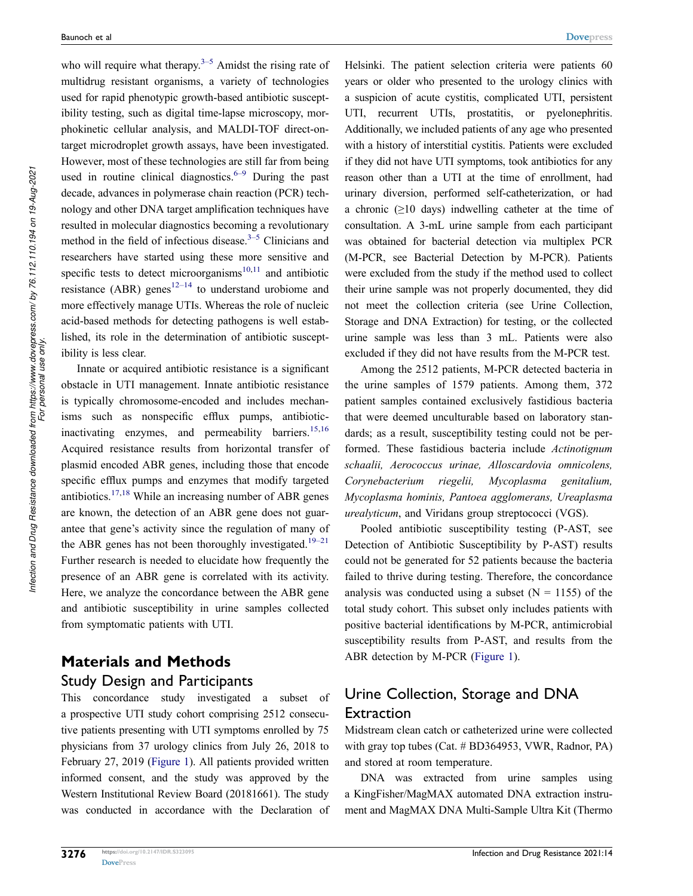<span id="page-1-0"></span>who will require what therapy.<sup> $3-5$ </sup> Amidst the rising rate of multidrug resistant organisms, a variety of technologies used for rapid phenotypic growth-based antibiotic susceptibility testing, such as digital time-lapse microscopy, morphokinetic cellular analysis, and MALDI-TOF direct-ontarget microdroplet growth assays, have been investigated. However, most of these technologies are still far from being used in routine clinical diagnostics.<sup> $6-9$ </sup> During the past decade, advances in polymerase chain reaction (PCR) technology and other DNA target amplification techniques have resulted in molecular diagnostics becoming a revolutionary method in the field of infectious disease. $3-5$  Clinicians and researchers have started using these more sensitive and specific tests to detect microorganisms $10,11$  $10,11$  and antibiotic resistance (ABR) genes<sup>12–14</sup> to understand urobiome and more effectively manage UTIs. Whereas the role of nucleic acid-based methods for detecting pathogens is well established, its role in the determination of antibiotic susceptibility is less clear.

<span id="page-1-4"></span><span id="page-1-3"></span><span id="page-1-2"></span><span id="page-1-1"></span>Innate or acquired antibiotic resistance is a significant obstacle in UTI management. Innate antibiotic resistance is typically chromosome-encoded and includes mechanisms such as nonspecific efflux pumps, antibiotic-inactivating enzymes, and permeability barriers.<sup>[15](#page-10-8),16</sup> Acquired resistance results from horizontal transfer of plasmid encoded ABR genes, including those that encode specific efflux pumps and enzymes that modify targeted antibiotics.[17,](#page-10-10)[18](#page-10-11) While an increasing number of ABR genes are known, the detection of an ABR gene does not guarantee that gene's activity since the regulation of many of the ABR genes has not been thoroughly investigated.<sup>19–21</sup> Further research is needed to elucidate how frequently the presence of an ABR gene is correlated with its activity. Here, we analyze the concordance between the ABR gene and antibiotic susceptibility in urine samples collected from symptomatic patients with UTI.

# <span id="page-1-5"></span>**Materials and Methods** Study Design and Participants

This concordance study investigated a subset of a prospective UTI study cohort comprising 2512 consecutive patients presenting with UTI symptoms enrolled by 75 physicians from 37 urology clinics from July 26, 2018 to February 27, 2019 ([Figure 1](#page-2-0)). All patients provided written informed consent, and the study was approved by the Western Institutional Review Board (20181661). The study was conducted in accordance with the Declaration of Helsinki. The patient selection criteria were patients 60 years or older who presented to the urology clinics with a suspicion of acute cystitis, complicated UTI, persistent UTI, recurrent UTIs, prostatitis, or pyelonephritis. Additionally, we included patients of any age who presented with a history of interstitial cystitis. Patients were excluded if they did not have UTI symptoms, took antibiotics for any reason other than a UTI at the time of enrollment, had urinary diversion, performed self-catheterization, or had a chronic  $(\geq 10$  days) indwelling catheter at the time of consultation. A 3-mL urine sample from each participant was obtained for bacterial detection via multiplex PCR (M-PCR, see Bacterial Detection by M-PCR). Patients were excluded from the study if the method used to collect their urine sample was not properly documented, they did not meet the collection criteria (see Urine Collection, Storage and DNA Extraction) for testing, or the collected urine sample was less than 3 mL. Patients were also excluded if they did not have results from the M-PCR test.

Among the 2512 patients, M-PCR detected bacteria in the urine samples of 1579 patients. Among them, 372 patient samples contained exclusively fastidious bacteria that were deemed unculturable based on laboratory standards; as a result, susceptibility testing could not be performed. These fastidious bacteria include *Actinotignum schaalii, Aerococcus urinae, Alloscardovia omnicolens, Corynebacterium riegelii, Mycoplasma genitalium, Mycoplasma hominis, Pantoea agglomerans, Ureaplasma urealyticum*, and Viridans group streptococci (VGS).

Pooled antibiotic susceptibility testing (P-AST, see Detection of Antibiotic Susceptibility by P-AST) results could not be generated for 52 patients because the bacteria failed to thrive during testing. Therefore, the concordance analysis was conducted using a subset  $(N = 1155)$  of the total study cohort. This subset only includes patients with positive bacterial identifications by M-PCR, antimicrobial susceptibility results from P-AST, and results from the ABR detection by M-PCR ([Figure 1](#page-2-0)).

### Urine Collection, Storage and DNA Extraction

Midstream clean catch or catheterized urine were collected with gray top tubes (Cat. # BD364953, VWR, Radnor, PA) and stored at room temperature.

DNA was extracted from urine samples using a KingFisher/MagMAX automated DNA extraction instrument and MagMAX DNA Multi-Sample Ultra Kit (Thermo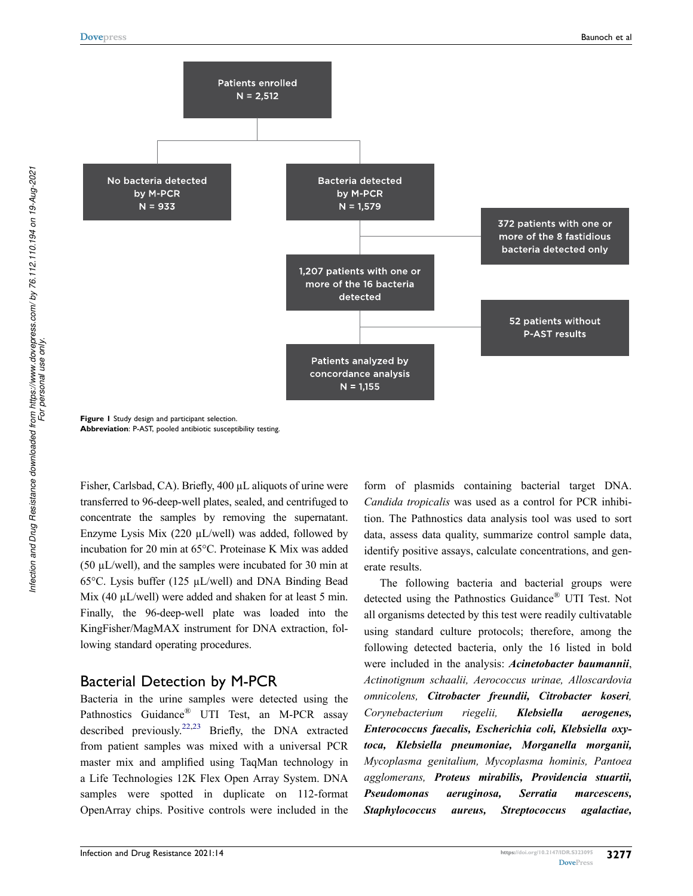<span id="page-2-0"></span>

**Figure 1** Study design and participant selection. **Abbreviation**: P-AST, pooled antibiotic susceptibility testing.

Fisher, Carlsbad, CA). Briefly, 400 µL aliquots of urine were transferred to 96-deep-well plates, sealed, and centrifuged to concentrate the samples by removing the supernatant. Enzyme Lysis Mix (220 µL/well) was added, followed by incubation for 20 min at 65°C. Proteinase K Mix was added (50 µL/well), and the samples were incubated for 30 min at 65°C. Lysis buffer (125 µL/well) and DNA Binding Bead Mix (40 µL/well) were added and shaken for at least 5 min. Finally, the 96-deep-well plate was loaded into the KingFisher/MagMAX instrument for DNA extraction, following standard operating procedures.

### Bacterial Detection by M-PCR

<span id="page-2-1"></span>Bacteria in the urine samples were detected using the Pathnostics Guidance<sup>®</sup> UTI Test, an M-PCR assay described previously.<sup>[22](#page-10-13),23</sup> Briefly, the DNA extracted from patient samples was mixed with a universal PCR master mix and amplified using TaqMan technology in a Life Technologies 12K Flex Open Array System. DNA samples were spotted in duplicate on 112-format OpenArray chips. Positive controls were included in the form of plasmids containing bacterial target DNA. *Candida tropicalis* was used as a control for PCR inhibition. The Pathnostics data analysis tool was used to sort data, assess data quality, summarize control sample data, identify positive assays, calculate concentrations, and generate results.

The following bacteria and bacterial groups were detected using the Pathnostics Guidance® UTI Test. Not all organisms detected by this test were readily cultivatable using standard culture protocols; therefore, among the following detected bacteria, only the 16 listed in bold were included in the analysis: *Acinetobacter baumannii*, *Actinotignum schaalii, Aerococcus urinae, Alloscardovia omnicolens, Citrobacter freundii, Citrobacter koseri, Corynebacterium riegelii, Klebsiella aerogenes, Enterococcus faecalis, Escherichia coli, Klebsiella oxytoca, Klebsiella pneumoniae, Morganella morganii, Mycoplasma genitalium, Mycoplasma hominis, Pantoea agglomerans, Proteus mirabilis, Providencia stuartii, Pseudomonas aeruginosa, Serratia marcescens, Staphylococcus aureus, Streptococcus agalactiae,*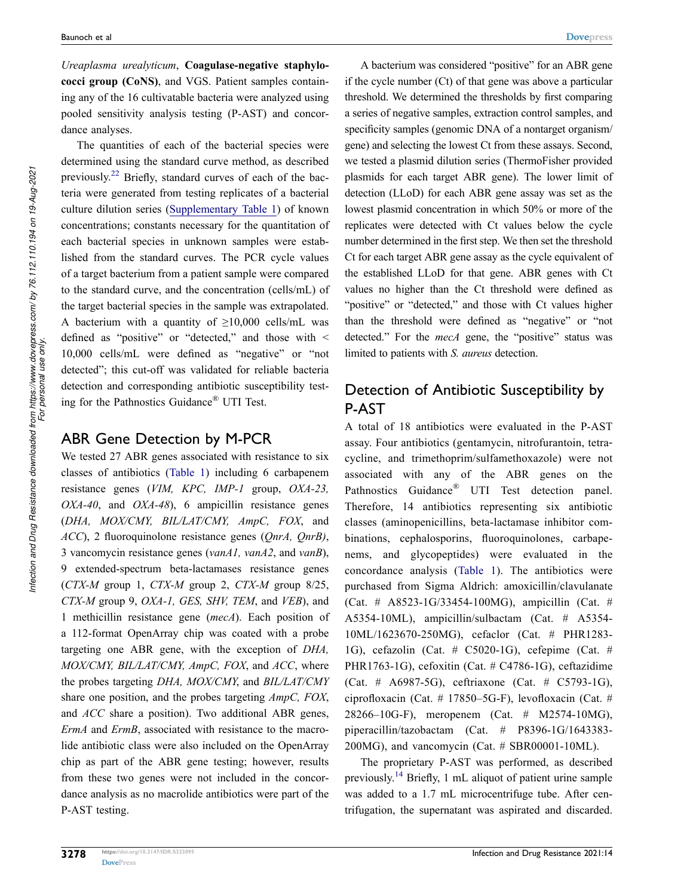*Ureaplasma urealyticum*, **Coagulase-negative staphylococci group (CoNS)**, and VGS. Patient samples containing any of the 16 cultivatable bacteria were analyzed using pooled sensitivity analysis testing (P-AST) and concordance analyses.

The quantities of each of the bacterial species were determined using the standard curve method, as described previously.[22](#page-10-13) Briefly, standard curves of each of the bacteria were generated from testing replicates of a bacterial culture dilution series ([Supplementary Table 1\)](https://www.dovepress.com/get_supplementary_file.php?f=323095.docx) of known concentrations; constants necessary for the quantitation of each bacterial species in unknown samples were established from the standard curves. The PCR cycle values of a target bacterium from a patient sample were compared to the standard curve, and the concentration (cells/mL) of the target bacterial species in the sample was extrapolated. A bacterium with a quantity of  $\geq 10,000$  cells/mL was defined as "positive" or "detected," and those with < 10,000 cells/mL were defined as "negative" or "not detected"; this cut-off was validated for reliable bacteria detection and corresponding antibiotic susceptibility testing for the Pathnostics Guidance® UTI Test.

### ABR Gene Detection by M-PCR

We tested 27 ABR genes associated with resistance to six classes of antibiotics ([Table 1\)](#page-4-0) including 6 carbapenem resistance genes (*VIM, KPC, IMP-1* group, *OXA-23, OXA-40*, and *OXA-48*), 6 ampicillin resistance genes (*DHA, MOX/CMY, BIL/LAT/CMY, AmpC, FOX*, and *ACC*), 2 fluoroquinolone resistance genes (*QnrA, QnrB)*, 3 vancomycin resistance genes (*vanA1, vanA2*, and *vanB*), 9 extended-spectrum beta-lactamases resistance genes (*CTX-M* group 1, *CTX-M* group 2, *CTX-M* group 8/25, *CTX-M* group 9, *OXA-1, GES, SHV, TEM*, and *VEB*), and 1 methicillin resistance gene (*mecA*). Each position of a 112-format OpenArray chip was coated with a probe targeting one ABR gene, with the exception of *DHA, MOX/CMY, BIL/LAT/CMY, AmpC, FOX*, and *ACC*, where the probes targeting *DHA, MOX/CMY*, and *BIL/LAT/CMY*  share one position, and the probes targeting *AmpC, FOX*, and *ACC* share a position). Two additional ABR genes, *ErmA* and *ErmB*, associated with resistance to the macrolide antibiotic class were also included on the OpenArray chip as part of the ABR gene testing; however, results from these two genes were not included in the concordance analysis as no macrolide antibiotics were part of the P-AST testing.

A bacterium was considered "positive" for an ABR gene if the cycle number (Ct) of that gene was above a particular threshold. We determined the thresholds by first comparing a series of negative samples, extraction control samples, and specificity samples (genomic DNA of a nontarget organism/ gene) and selecting the lowest Ct from these assays. Second, we tested a plasmid dilution series (ThermoFisher provided plasmids for each target ABR gene). The lower limit of detection (LLoD) for each ABR gene assay was set as the lowest plasmid concentration in which 50% or more of the replicates were detected with Ct values below the cycle number determined in the first step. We then set the threshold Ct for each target ABR gene assay as the cycle equivalent of the established LLoD for that gene. ABR genes with Ct values no higher than the Ct threshold were defined as "positive" or "detected," and those with Ct values higher than the threshold were defined as "negative" or "not detected." For the *mecA* gene, the "positive" status was limited to patients with *S. aureus* detection.

### Detection of Antibiotic Susceptibility by P-AST

A total of 18 antibiotics were evaluated in the P-AST assay. Four antibiotics (gentamycin, nitrofurantoin, tetracycline, and trimethoprim/sulfamethoxazole) were not associated with any of the ABR genes on the Pathnostics Guidance® UTI Test detection panel. Therefore, 14 antibiotics representing six antibiotic classes (aminopenicillins, beta-lactamase inhibitor combinations, cephalosporins, fluoroquinolones, carbapenems, and glycopeptides) were evaluated in the concordance analysis ([Table 1\)](#page-4-0). The antibiotics were purchased from Sigma Aldrich: amoxicillin/clavulanate (Cat. # A8523-1G/33454-100MG), ampicillin (Cat. # A5354-10ML), ampicillin/sulbactam (Cat. # A5354- 10ML/1623670-250MG), cefaclor (Cat. # PHR1283- 1G), cefazolin (Cat. # C5020-1G), cefepime (Cat. # PHR1763-1G), cefoxitin (Cat. # C4786-1G), ceftazidime (Cat. # A6987-5G), ceftriaxone (Cat. # C5793-1G), ciprofloxacin (Cat. # 17850–5G-F), levofloxacin (Cat. # 28266–10G-F), meropenem (Cat. # M2574-10MG), piperacillin/tazobactam (Cat. # P8396-1G/1643383- 200MG), and vancomycin (Cat. # SBR00001-10ML).

<span id="page-3-0"></span>The proprietary P-AST was performed, as described previously.[14](#page-10-15) Briefly, 1 mL aliquot of patient urine sample was added to a 1.7 mL microcentrifuge tube. After centrifugation, the supernatant was aspirated and discarded.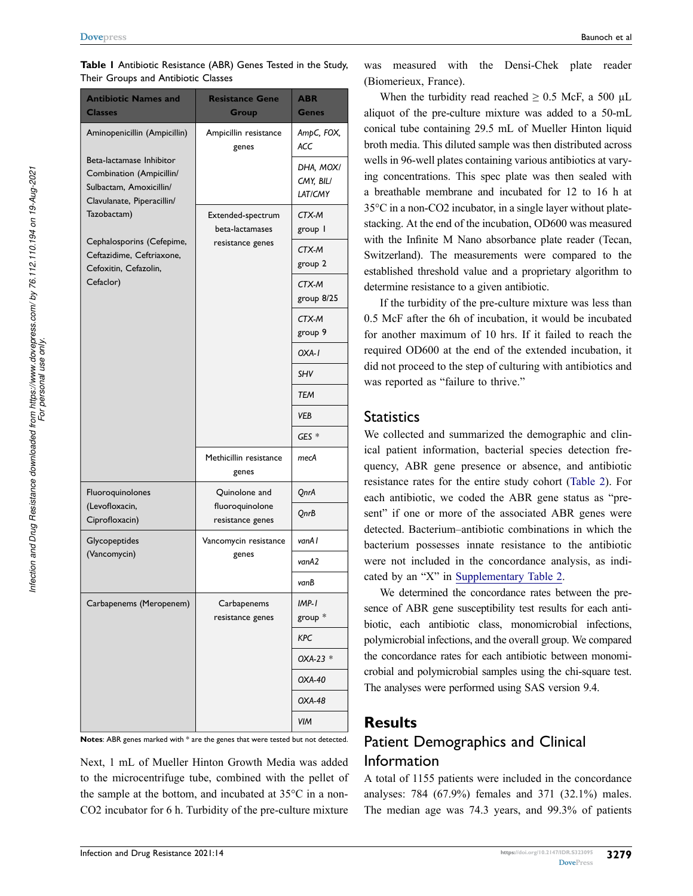| THEIL OLOUPS AND MILIDIOUL CRASSES                                                                                                                                                                                                                           |                                                                                            |                                   |
|--------------------------------------------------------------------------------------------------------------------------------------------------------------------------------------------------------------------------------------------------------------|--------------------------------------------------------------------------------------------|-----------------------------------|
| <b>Antibiotic Names and</b><br><b>Classes</b>                                                                                                                                                                                                                | <b>Resistance Gene</b><br>Group                                                            | <b>ABR</b><br>Genes               |
| Aminopenicillin (Ampicillin)<br>Beta-lactamase Inhibitor<br>Combination (Ampicillin/<br>Sulbactam, Amoxicillin/<br>Clavulanate, Piperacillin/<br>Tazobactam)<br>Cephalosporins (Cefepime,<br>Ceftazidime, Ceftriaxone,<br>Cefoxitin, Cefazolin,<br>Cefaclor) | Ampicillin resistance<br>genes<br>Extended-spectrum<br>beta-lactamases<br>resistance genes | AmpC, FOX,<br>ACC                 |
|                                                                                                                                                                                                                                                              |                                                                                            | DHA, MOX/<br>CMY, BIL/<br>LAT/CMY |
|                                                                                                                                                                                                                                                              |                                                                                            | CTX-M<br>group 1                  |
|                                                                                                                                                                                                                                                              |                                                                                            | CTX-M<br>group 2                  |
|                                                                                                                                                                                                                                                              |                                                                                            | CTX-M<br>group 8/25               |
|                                                                                                                                                                                                                                                              |                                                                                            | CTX-M<br>group 9                  |
|                                                                                                                                                                                                                                                              |                                                                                            | $OXA-I$                           |
|                                                                                                                                                                                                                                                              |                                                                                            | <b>SHV</b>                        |
|                                                                                                                                                                                                                                                              |                                                                                            | <b>TEM</b>                        |
|                                                                                                                                                                                                                                                              |                                                                                            | VEB                               |
|                                                                                                                                                                                                                                                              |                                                                                            | $GES *$                           |
|                                                                                                                                                                                                                                                              | Methicillin resistance<br>genes                                                            | mecA                              |
| Fluoroquinolones                                                                                                                                                                                                                                             | Quinolone and<br>fluoroquinolone<br>resistance genes                                       | QnrA                              |
| (Levofloxacin,<br>Ciprofloxacin)                                                                                                                                                                                                                             |                                                                                            | QnrB                              |
| Glycopeptides                                                                                                                                                                                                                                                | Vancomycin resistance<br>genes                                                             | vanA l                            |
| (Vancomycin)                                                                                                                                                                                                                                                 |                                                                                            | vanA2                             |
|                                                                                                                                                                                                                                                              |                                                                                            | vanB                              |
| Carbapenems (Meropenem)                                                                                                                                                                                                                                      | Carbapenems<br>resistance genes                                                            | $IMP-I$<br>group $*$              |
|                                                                                                                                                                                                                                                              |                                                                                            | KPC                               |
|                                                                                                                                                                                                                                                              |                                                                                            | OXA-23 *                          |
|                                                                                                                                                                                                                                                              |                                                                                            | OXA-40                            |
|                                                                                                                                                                                                                                                              |                                                                                            | OXA-48                            |
|                                                                                                                                                                                                                                                              |                                                                                            | VIM                               |

<span id="page-4-0"></span>**Table 1** Antibiotic Resistance (ABR) Genes Tested in the Study, Their Groups and Antibiotic Classes

**Notes**: ABR genes marked with \* are the genes that were tested but not detected.

Next, 1 mL of Mueller Hinton Growth Media was added to the microcentrifuge tube, combined with the pellet of the sample at the bottom, and incubated at 35°C in a non-CO2 incubator for 6 h. Turbidity of the pre-culture mixture

was measured with the Densi-Chek plate reader (Biomerieux, France).

When the turbidity read reached  $\geq 0.5$  McF, a 500 µL aliquot of the pre-culture mixture was added to a 50-mL conical tube containing 29.5 mL of Mueller Hinton liquid broth media. This diluted sample was then distributed across wells in 96-well plates containing various antibiotics at varying concentrations. This spec plate was then sealed with a breathable membrane and incubated for 12 to 16 h at 35°C in a non-CO2 incubator, in a single layer without platestacking. At the end of the incubation, OD600 was measured with the Infinite M Nano absorbance plate reader (Tecan, Switzerland). The measurements were compared to the established threshold value and a proprietary algorithm to determine resistance to a given antibiotic.

If the turbidity of the pre-culture mixture was less than 0.5 McF after the 6h of incubation, it would be incubated for another maximum of 10 hrs. If it failed to reach the required OD600 at the end of the extended incubation, it did not proceed to the step of culturing with antibiotics and was reported as "failure to thrive."

### **Statistics**

We collected and summarized the demographic and clinical patient information, bacterial species detection frequency, ABR gene presence or absence, and antibiotic resistance rates for the entire study cohort ([Table 2\)](#page-5-0). For each antibiotic, we coded the ABR gene status as "present" if one or more of the associated ABR genes were detected. Bacterium–antibiotic combinations in which the bacterium possesses innate resistance to the antibiotic were not included in the concordance analysis, as indicated by an "X" in [Supplementary Table 2.](https://www.dovepress.com/get_supplementary_file.php?f=323095.docx)

We determined the concordance rates between the presence of ABR gene susceptibility test results for each antibiotic, each antibiotic class, monomicrobial infections, polymicrobial infections, and the overall group. We compared the concordance rates for each antibiotic between monomicrobial and polymicrobial samples using the chi-square test. The analyses were performed using SAS version 9.4.

### **Results**

# Patient Demographics and Clinical Information

A total of 1155 patients were included in the concordance analyses: 784 (67.9%) females and 371 (32.1%) males. The median age was 74.3 years, and 99.3% of patients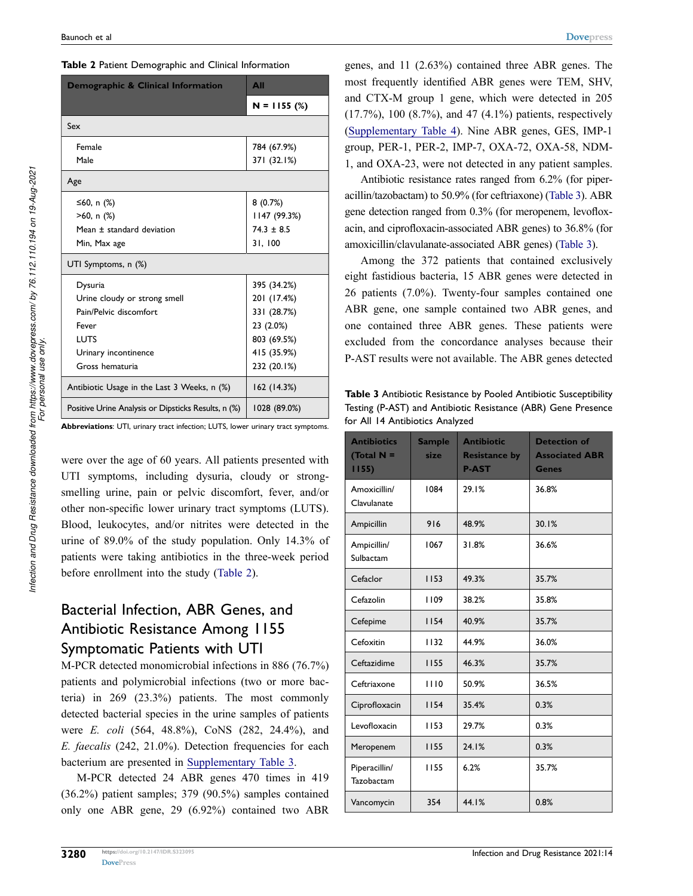<span id="page-5-0"></span>

| Demographic & Clinical Information                  | <b>All</b>     |
|-----------------------------------------------------|----------------|
|                                                     | $N = 1155$ (%) |
| Sex                                                 |                |
| Female                                              | 784 (67.9%)    |
| Male                                                | 371 (32.1%)    |
| Age                                                 |                |
| ≤60, n (%)                                          | 8(0.7%)        |
| $>60$ , n $(\%)$                                    | 1147 (99.3%)   |
| Mean ± standard deviation                           | $74.3 \pm 8.5$ |
| Min, Max age                                        | 31, 100        |
| UTI Symptoms, n (%)                                 |                |
| Dysuria                                             | 395 (34.2%)    |
| Urine cloudy or strong smell                        | 201 (17.4%)    |
| Pain/Pelvic discomfort                              | 331 (28.7%)    |
| Fever                                               | 23 (2.0%)      |
| LUTS                                                | 803 (69.5%)    |
| Urinary incontinence                                | 415 (35.9%)    |
| Gross hematuria                                     | 232 (20.1%)    |
| Antibiotic Usage in the Last 3 Weeks, n (%)         | 162 (14.3%)    |
| Positive Urine Analysis or Dipsticks Results, n (%) | 1028 (89.0%)   |

**Abbreviations**: UTI, urinary tract infection; LUTS, lower urinary tract symptoms.

were over the age of 60 years. All patients presented with UTI symptoms, including dysuria, cloudy or strongsmelling urine, pain or pelvic discomfort, fever, and/or other non-specific lower urinary tract symptoms (LUTS). Blood, leukocytes, and/or nitrites were detected in the urine of 89.0% of the study population. Only 14.3% of patients were taking antibiotics in the three-week period before enrollment into the study [\(Table 2\)](#page-5-0).

### Bacterial Infection, ABR Genes, and Antibiotic Resistance Among 1155 Symptomatic Patients with UTI

M-PCR detected monomicrobial infections in 886 (76.7%) patients and polymicrobial infections (two or more bacteria) in 269 (23.3%) patients. The most commonly detected bacterial species in the urine samples of patients were *E. coli* (564, 48.8%), CoNS (282, 24.4%), and *E. faecalis* (242, 21.0%). Detection frequencies for each bacterium are presented in [Supplementary Table 3.](https://www.dovepress.com/get_supplementary_file.php?f=323095.docx)

M-PCR detected 24 ABR genes 470 times in 419 (36.2%) patient samples; 379 (90.5%) samples contained only one ABR gene, 29 (6.92%) contained two ABR genes, and 11 (2.63%) contained three ABR genes. The most frequently identified ABR genes were TEM, SHV, and CTX-M group 1 gene, which were detected in 205 (17.7%), 100 (8.7%), and 47 (4.1%) patients, respectively [\(Supplementary Table 4](https://www.dovepress.com/get_supplementary_file.php?f=323095.docx)). Nine ABR genes, GES, IMP-1 group, PER-1, PER-2, IMP-7, OXA-72, OXA-58, NDM-1, and OXA-23, were not detected in any patient samples.

Antibiotic resistance rates ranged from 6.2% (for piperacillin/tazobactam) to 50.9% (for ceftriaxone) [\(Table 3](#page-5-1)). ABR gene detection ranged from 0.3% (for meropenem, levofloxacin, and ciprofloxacin-associated ABR genes) to 36.8% (for amoxicillin/clavulanate-associated ABR genes) [\(Table 3](#page-5-1)).

Among the 372 patients that contained exclusively eight fastidious bacteria, 15 ABR genes were detected in 26 patients (7.0%). Twenty-four samples contained one ABR gene, one sample contained two ABR genes, and one contained three ABR genes. These patients were excluded from the concordance analyses because their P-AST results were not available. The ABR genes detected

<span id="page-5-1"></span>**Table 3** Antibiotic Resistance by Pooled Antibiotic Susceptibility Testing (P-AST) and Antibiotic Resistance (ABR) Gene Presence for All 14 Antibiotics Analyzed

| <b>Antibiotics</b><br>(Total $N =$<br>1155 | <b>Sample</b><br>size | <b>Antibiotic</b><br><b>Resistance by</b><br><b>P-AST</b> | <b>Detection of</b><br><b>Associated ABR</b><br><b>Genes</b> |
|--------------------------------------------|-----------------------|-----------------------------------------------------------|--------------------------------------------------------------|
| Amoxicillin/<br>Clavulanate                | 1084                  | 29.1%                                                     | 36.8%                                                        |
| Ampicillin                                 | 916                   | 48.9%                                                     | 30.1%                                                        |
| Ampicillin/<br>Sulbactam                   | 1067                  | 31.8%                                                     | 36.6%                                                        |
| Cefaclor                                   | 1153                  | 49.3%                                                     | 35.7%                                                        |
| Cefazolin                                  | 1109                  | 38.2%                                                     | 35.8%                                                        |
| Cefepime                                   | 1154                  | 40.9%                                                     | 35.7%                                                        |
| Cefoxitin                                  | 1132                  | 44.9%                                                     | 36.0%                                                        |
| Ceftazidime                                | 1155                  | 46.3%                                                     | 35.7%                                                        |
| Ceftriaxone                                | 1110                  | 50.9%                                                     | 36.5%                                                        |
| Ciprofloxacin                              | 1154                  | 35.4%                                                     | 0.3%                                                         |
| Levofloxacin                               | 1153                  | 29.7%                                                     | 0.3%                                                         |
| Meropenem                                  | 1155                  | 24.1%                                                     | 0.3%                                                         |
| Piperacillin/<br>Tazobactam                | 1155                  | 6.2%                                                      | 35.7%                                                        |
| Vancomycin                                 | 354                   | 44.1%                                                     | 0.8%                                                         |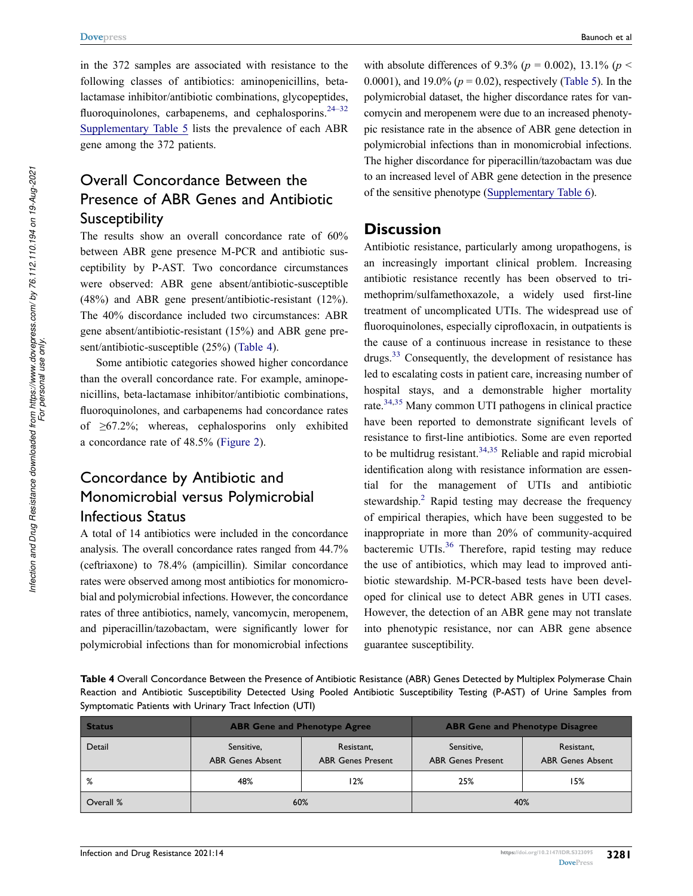<span id="page-6-1"></span>in the 372 samples are associated with resistance to the following classes of antibiotics: aminopenicillins, betalactamase inhibitor/antibiotic combinations, glycopeptides, fluoroquinolones, carbapenems, and cephalosporins. $24-32$ [Supplementary Table 5](https://www.dovepress.com/get_supplementary_file.php?f=323095.docx) lists the prevalence of each ABR gene among the 372 patients.

### Overall Concordance Between the Presence of ABR Genes and Antibiotic **Susceptibility**

The results show an overall concordance rate of 60% between ABR gene presence M-PCR and antibiotic susceptibility by P-AST. Two concordance circumstances were observed: ABR gene absent/antibiotic-susceptible (48%) and ABR gene present/antibiotic-resistant (12%). The 40% discordance included two circumstances: ABR gene absent/antibiotic-resistant (15%) and ABR gene present/antibiotic-susceptible (25%) [\(Table 4\)](#page-6-0).

Some antibiotic categories showed higher concordance than the overall concordance rate. For example, aminopenicillins, beta-lactamase inhibitor/antibiotic combinations, fluoroquinolones, and carbapenems had concordance rates of  $\geq 67.2\%$ ; whereas, cephalosporins only exhibited a concordance rate of 48.5% ([Figure 2](#page-7-0)).

# Concordance by Antibiotic and Monomicrobial versus Polymicrobial Infectious Status

<span id="page-6-4"></span>A total of 14 antibiotics were included in the concordance analysis. The overall concordance rates ranged from 44.7% (ceftriaxone) to 78.4% (ampicillin). Similar concordance rates were observed among most antibiotics for monomicrobial and polymicrobial infections. However, the concordance rates of three antibiotics, namely, vancomycin, meropenem, and piperacillin/tazobactam, were significantly lower for polymicrobial infections than for monomicrobial infections with absolute differences of 9.3% ( $p = 0.002$ ), 13.1% ( $p <$ 0.0001), and 19.0% (*p* = 0.02), respectively [\(Table 5\)](#page-8-0). In the polymicrobial dataset, the higher discordance rates for vancomycin and meropenem were due to an increased phenotypic resistance rate in the absence of ABR gene detection in polymicrobial infections than in monomicrobial infections. The higher discordance for piperacillin/tazobactam was due to an increased level of ABR gene detection in the presence of the sensitive phenotype ([Supplementary Table 6\)](https://www.dovepress.com/get_supplementary_file.php?f=323095.docx).

### **Discussion**

<span id="page-6-3"></span><span id="page-6-2"></span>Antibiotic resistance, particularly among uropathogens, is an increasingly important clinical problem. Increasing antibiotic resistance recently has been observed to trimethoprim/sulfamethoxazole, a widely used first-line treatment of uncomplicated UTIs. The widespread use of fluoroquinolones, especially ciprofloxacin, in outpatients is the cause of a continuous increase in resistance to these drugs.[33](#page-10-17) Consequently, the development of resistance has led to escalating costs in patient care, increasing number of hospital stays, and a demonstrable higher mortality rate.[34,](#page-10-18)[35](#page-10-19) Many common UTI pathogens in clinical practice have been reported to demonstrate significant levels of resistance to first-line antibiotics. Some are even reported to be multidrug resistant.<sup>[34](#page-10-18),35</sup> Reliable and rapid microbial identification along with resistance information are essential for the management of UTIs and antibiotic stewardship.<sup>2</sup> Rapid testing may decrease the frequency of empirical therapies, which have been suggested to be inappropriate in more than 20% of community-acquired bacteremic UTIs.<sup>[36](#page-10-20)</sup> Therefore, rapid testing may reduce the use of antibiotics, which may lead to improved antibiotic stewardship. M-PCR-based tests have been developed for clinical use to detect ABR genes in UTI cases. However, the detection of an ABR gene may not translate into phenotypic resistance, nor can ABR gene absence guarantee susceptibility.

<span id="page-6-0"></span>**Table 4** Overall Concordance Between the Presence of Antibiotic Resistance (ABR) Genes Detected by Multiplex Polymerase Chain Reaction and Antibiotic Susceptibility Detected Using Pooled Antibiotic Susceptibility Testing (P-AST) of Urine Samples from Symptomatic Patients with Urinary Tract Infection (UTI)

| <b>Status</b> | <b>ABR Gene and Phenotype Agree</b>   |                                        | <b>ABR Gene and Phenotype Disagree</b> |                                       |
|---------------|---------------------------------------|----------------------------------------|----------------------------------------|---------------------------------------|
| Detail        | Sensitive,<br><b>ABR Genes Absent</b> | Resistant,<br><b>ABR Genes Present</b> | Sensitive,<br><b>ABR Genes Present</b> | Resistant,<br><b>ABR Genes Absent</b> |
| %             | 48%                                   | l 2%                                   | 25%                                    | l 5%                                  |
| Overall %     | 60%                                   |                                        | 40%                                    |                                       |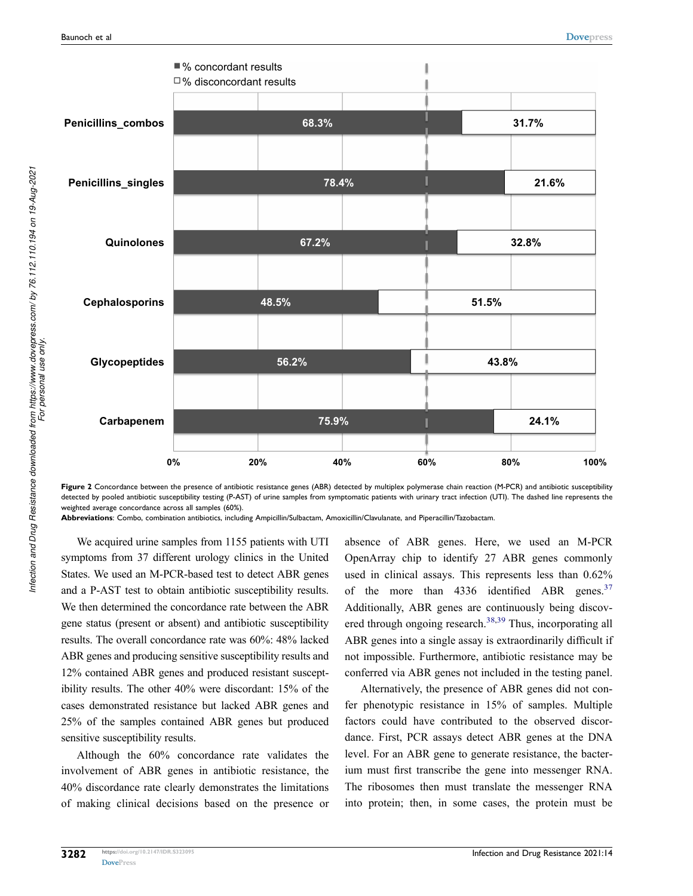<span id="page-7-0"></span>



**Abbreviations**: Combo, combination antibiotics, including Ampicillin/Sulbactam, Amoxicillin/Clavulanate, and Piperacillin/Tazobactam.

We acquired urine samples from 1155 patients with UTI symptoms from 37 different urology clinics in the United States. We used an M-PCR-based test to detect ABR genes and a P-AST test to obtain antibiotic susceptibility results. We then determined the concordance rate between the ABR gene status (present or absent) and antibiotic susceptibility results. The overall concordance rate was 60%: 48% lacked ABR genes and producing sensitive susceptibility results and 12% contained ABR genes and produced resistant susceptibility results. The other 40% were discordant: 15% of the cases demonstrated resistance but lacked ABR genes and 25% of the samples contained ABR genes but produced sensitive susceptibility results.

Although the 60% concordance rate validates the involvement of ABR genes in antibiotic resistance, the 40% discordance rate clearly demonstrates the limitations of making clinical decisions based on the presence or <span id="page-7-1"></span>absence of ABR genes. Here, we used an M-PCR OpenArray chip to identify 27 ABR genes commonly used in clinical assays. This represents less than 0.62% of the more than  $4336$  identified ABR genes.<sup>[37](#page-10-21)</sup> Additionally, ABR genes are continuously being discov-ered through ongoing research.<sup>[38](#page-11-0),39</sup> Thus, incorporating all ABR genes into a single assay is extraordinarily difficult if not impossible. Furthermore, antibiotic resistance may be conferred via ABR genes not included in the testing panel.

<span id="page-7-3"></span><span id="page-7-2"></span>Alternatively, the presence of ABR genes did not confer phenotypic resistance in 15% of samples. Multiple factors could have contributed to the observed discordance. First, PCR assays detect ABR genes at the DNA level. For an ABR gene to generate resistance, the bacterium must first transcribe the gene into messenger RNA. The ribosomes then must translate the messenger RNA into protein; then, in some cases, the protein must be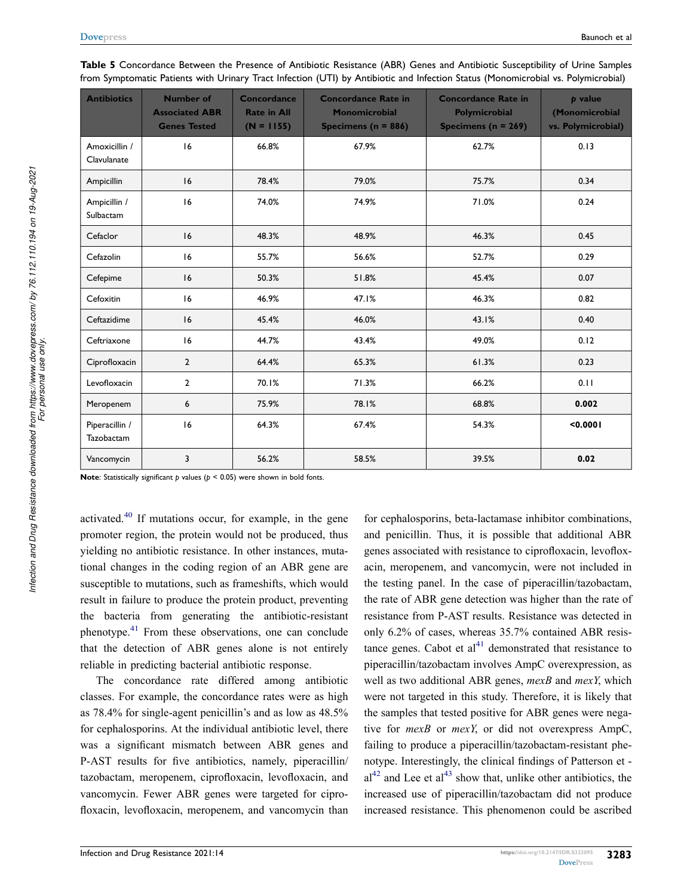| <b>Antibiotics</b>           | <b>Number of</b><br><b>Associated ABR</b><br><b>Genes Tested</b> | Concordance<br><b>Rate in All</b><br>$(N = 1155)$ | <b>Concordance Rate in</b><br><b>Monomicrobial</b><br>Specimens ( $n = 886$ ) | <b>Concordance Rate in</b><br><b>Polymicrobial</b><br>Specimens ( $n = 269$ ) | <b><i>b</i></b> value<br>(Monomicrobial<br>vs. Polymicrobial) |
|------------------------------|------------------------------------------------------------------|---------------------------------------------------|-------------------------------------------------------------------------------|-------------------------------------------------------------------------------|---------------------------------------------------------------|
| Amoxicillin /<br>Clavulanate | 16                                                               | 66.8%                                             | 67.9%                                                                         | 62.7%                                                                         | 0.13                                                          |
| Ampicillin                   | 16                                                               | 78.4%                                             | 79.0%                                                                         | 75.7%                                                                         | 0.34                                                          |
| Ampicillin /<br>Sulbactam    | 16                                                               | 74.0%                                             | 74.9%                                                                         | 71.0%                                                                         | 0.24                                                          |
| Cefaclor                     | 16                                                               | 48.3%                                             | 48.9%                                                                         | 46.3%                                                                         | 0.45                                                          |
| Cefazolin                    | 16                                                               | 55.7%                                             | 56.6%                                                                         | 52.7%                                                                         | 0.29                                                          |
| Cefepime                     | 16                                                               | 50.3%                                             | 51.8%                                                                         | 45.4%                                                                         | 0.07                                                          |
| Cefoxitin                    | 16                                                               | 46.9%                                             | 47.1%                                                                         | 46.3%                                                                         | 0.82                                                          |
| Ceftazidime                  | 16                                                               | 45.4%                                             | 46.0%                                                                         | 43.1%                                                                         | 0.40                                                          |
| Ceftriaxone                  | 16                                                               | 44.7%                                             | 43.4%                                                                         | 49.0%                                                                         | 0.12                                                          |
| Ciprofloxacin                | $\overline{2}$                                                   | 64.4%                                             | 65.3%                                                                         | 61.3%                                                                         | 0.23                                                          |
| Levofloxacin                 | $\overline{2}$                                                   | 70.1%                                             | 71.3%                                                                         | 66.2%                                                                         | 0.11                                                          |
| Meropenem                    | 6                                                                | 75.9%                                             | 78.1%                                                                         | 68.8%                                                                         | 0.002                                                         |
| Piperacillin /<br>Tazobactam | 16                                                               | 64.3%                                             | 67.4%                                                                         | 54.3%                                                                         | < 0.0001                                                      |
| Vancomycin                   | 3                                                                | 56.2%                                             | 58.5%                                                                         | 39.5%                                                                         | 0.02                                                          |

<span id="page-8-0"></span>**Table 5** Concordance Between the Presence of Antibiotic Resistance (ABR) Genes and Antibiotic Susceptibility of Urine Samples from Symptomatic Patients with Urinary Tract Infection (UTI) by Antibiotic and Infection Status (Monomicrobial vs. Polymicrobial)

**Note**: Statistically significant *p* values ( $p < 0.05$ ) were shown in bold fonts.

activated.[40](#page-11-2) If mutations occur, for example, in the gene promoter region, the protein would not be produced, thus yielding no antibiotic resistance. In other instances, mutational changes in the coding region of an ABR gene are susceptible to mutations, such as frameshifts, which would result in failure to produce the protein product, preventing the bacteria from generating the antibiotic-resistant phenotype.[41](#page-11-3) From these observations, one can conclude that the detection of ABR genes alone is not entirely reliable in predicting bacterial antibiotic response.

The concordance rate differed among antibiotic classes. For example, the concordance rates were as high as 78.4% for single-agent penicillin's and as low as 48.5% for cephalosporins. At the individual antibiotic level, there was a significant mismatch between ABR genes and P-AST results for five antibiotics, namely, piperacillin/ tazobactam, meropenem, ciprofloxacin, levofloxacin, and vancomycin. Fewer ABR genes were targeted for ciprofloxacin, levofloxacin, meropenem, and vancomycin than

<span id="page-8-2"></span><span id="page-8-1"></span>for cephalosporins, beta-lactamase inhibitor combinations, and penicillin. Thus, it is possible that additional ABR genes associated with resistance to ciprofloxacin, levofloxacin, meropenem, and vancomycin, were not included in the testing panel. In the case of piperacillin/tazobactam, the rate of ABR gene detection was higher than the rate of resistance from P-AST results. Resistance was detected in only 6.2% of cases, whereas 35.7% contained ABR resistance genes. Cabot et  $al<sup>41</sup>$  $al<sup>41</sup>$  $al<sup>41</sup>$  demonstrated that resistance to piperacillin/tazobactam involves AmpC overexpression, as well as two additional ABR genes, *mexB* and *mexY*, which were not targeted in this study. Therefore, it is likely that the samples that tested positive for ABR genes were negative for *mexB* or *mexY*, or did not overexpress AmpC, failing to produce a piperacillin/tazobactam-resistant phenotype. Interestingly, the clinical findings of Patterson et -  $al<sup>42</sup>$  $al<sup>42</sup>$  $al<sup>42</sup>$  and Lee et al<sup>43</sup> show that, unlike other antibiotics, the increased use of piperacillin/tazobactam did not produce increased resistance. This phenomenon could be ascribed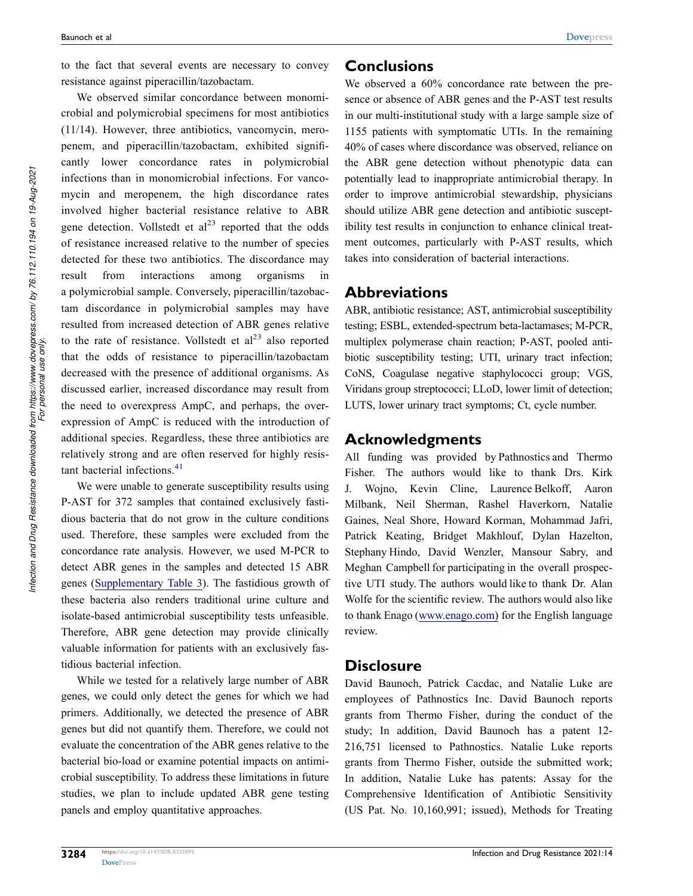We observed similar concordance between monomicrobial and polymicrobial specimens for most antibiotics (11/14). However, three antibiotics, vancomycin, meropenem, and piperacillin/tazobactam, exhibited significantly lower concordance rates in polymicrobial infections than in monomicrobial infections. For vancomycin and meropenem, the high discordance rates involved higher bacterial resistance relative to ABR gene detection. Vollstedt et  $al<sup>23</sup>$  reported that the odds of resistance increased relative to the number of species detected for these two antibiotics. The discordance may result from interactions among organisms in a polymicrobial sample. Conversely, piperacillin/tazobactam discordance in polymicrobial samples may have resulted from increased detection of ABR genes relative to the rate of resistance. Vollstedt et  $al<sup>23</sup>$  $al<sup>23</sup>$  $al<sup>23</sup>$  also reported that the odds of resistance to piperacillin/tazobactam decreased with the presence of additional organisms. As discussed earlier, increased discordance may result from the need to overexpress AmpC, and perhaps, the overexpression of AmpC is reduced with the introduction of additional species. Regardless, these three antibiotics are relatively strong and are often reserved for highly resis-tant bacterial infections.<sup>[41](#page-11-3)</sup>

We were unable to generate susceptibility results using P-AST for 372 samples that contained exclusively fastidious bacteria that do not grow in the culture conditions used. Therefore, these samples were excluded from the concordance rate analysis. However, we used M-PCR to detect ABR genes in the samples and detected 15 ABR genes ([Supplementary Table 3\)](https://www.dovepress.com/get_supplementary_file.php?f=323095.docx). The fastidious growth of these bacteria also renders traditional urine culture and isolate-based antimicrobial susceptibility tests unfeasible. Therefore, ABR gene detection may provide clinically valuable information for patients with an exclusively fastidious bacterial infection.

While we tested for a relatively large number of ABR genes, we could only detect the genes for which we had primers. Additionally, we detected the presence of ABR genes but did not quantify them. Therefore, we could not evaluate the concentration of the ABR genes relative to the bacterial bio-load or examine potential impacts on antimicrobial susceptibility. To address these limitations in future studies, we plan to include updated ABR gene testing panels and employ quantitative approaches.

### **Conclusions**

We observed a 60% concordance rate between the presence or absence of ABR genes and the P-AST test results in our multi-institutional study with a large sample size of 1155 patients with symptomatic UTIs. In the remaining 40% of cases where discordance was observed, reliance on the ABR gene detection without phenotypic data can potentially lead to inappropriate antimicrobial therapy. In order to improve antimicrobial stewardship, physicians should utilize ABR gene detection and antibiotic susceptibility test results in conjunction to enhance clinical treatment outcomes, particularly with P-AST results, which takes into consideration of bacterial interactions.

#### **Abbreviations**

ABR, antibiotic resistance; AST, antimicrobial susceptibility testing; ESBL, extended-spectrum beta-lactamases; M-PCR, multiplex polymerase chain reaction; P-AST, pooled antibiotic susceptibility testing; UTI, urinary tract infection; CoNS, Coagulase negative staphylococci group; VGS, Viridans group streptococci; LLoD, lower limit of detection; LUTS, lower urinary tract symptoms; Ct, cycle number.

### **Acknowledgments**

All funding was provided by Pathnostics and Thermo Fisher. The authors would like to thank Drs. Kirk J. Wojno, Kevin Cline, Laurence Belkoff, Aaron Milbank, Neil Sherman, Rashel Haverkorn, Natalie Gaines, Neal Shore, Howard Korman, Mohammad Jafri, Patrick Keating, Bridget Makhlouf, Dylan Hazelton, Stephany Hindo, David Wenzler, Mansour Sabry, and Meghan Campbell for participating in the overall prospective UTI study. The authors would like to thank Dr. Alan Wolfe for the scientific review. The authors would also like to thank Enago [\(www.enago.com](http://www.enago.com)) for the English language review.

#### **Disclosure**

David Baunoch, Patrick Cacdac, and Natalie Luke are employees of Pathnostics Inc. David Baunoch reports grants from Thermo Fisher, during the conduct of the study; In addition, David Baunoch has a patent 12- 216,751 licensed to Pathnostics. Natalie Luke reports grants from Thermo Fisher, outside the submitted work; In addition, Natalie Luke has patents: Assay for the Comprehensive Identification of Antibiotic Sensitivity (US Pat. No. 10,160,991; issued), Methods for Treating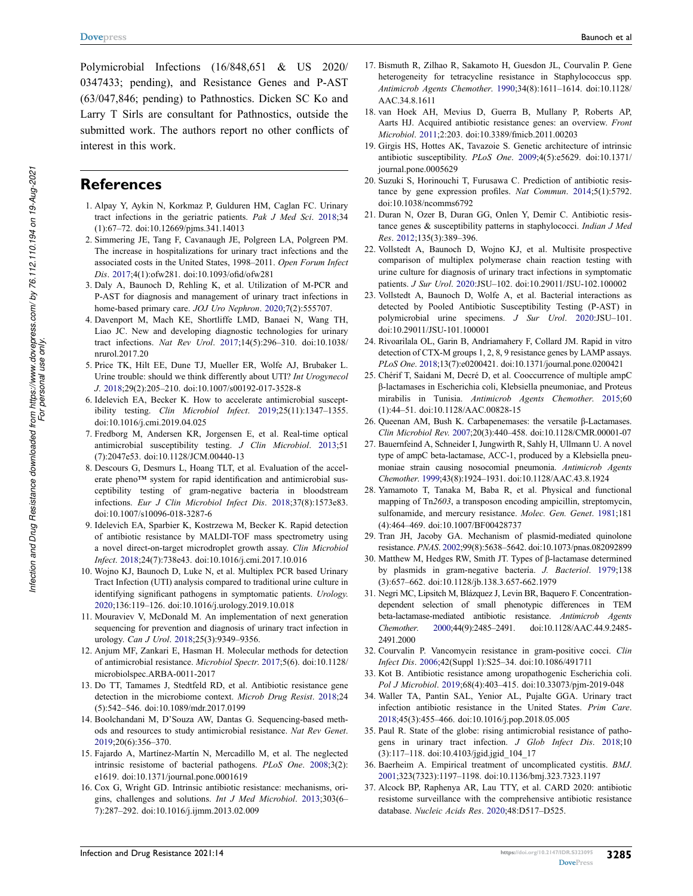Polymicrobial Infections (16/848,651 & US 2020/ 0347433; pending), and Resistance Genes and P-AST (63/047,846; pending) to Pathnostics. Dicken SC Ko and Larry T Sirls are consultant for Pathnostics, outside the submitted work. The authors report no other conflicts of interest in this work.

#### **References**

- <span id="page-10-0"></span>1. Alpay Y, Aykin N, Korkmaz P, Gulduren HM, Caglan FC. Urinary tract infections in the geriatric patients. *Pak J Med Sci*. [2018](#page-0-6);34 (1):67–72. doi:[10.12669/pjms.341.14013](https://doi.org/10.12669/pjms.341.14013)
- <span id="page-10-1"></span>2. Simmering JE, Tang F, Cavanaugh JE, Polgreen LA, Polgreen PM. The increase in hospitalizations for urinary tract infections and the associated costs in the United States, 1998–2011. *Open Forum Infect Dis*. [2017](#page-0-7);4(1):ofw281. doi:[10.1093/ofid/ofw281](https://doi.org/10.1093/ofid/ofw281)
- <span id="page-10-2"></span>3. Daly A, Baunoch D, Rehling K, et al. Utilization of M-PCR and P-AST for diagnosis and management of urinary tract infections in home-based primary care. *JOJ Uro Nephron*. [2020](#page-0-8);7(2):555707.
- 4. Davenport M, Mach KE, Shortliffe LMD, Banaei N, Wang TH, Liao JC. New and developing diagnostic technologies for urinary tract infections. *Nat Rev Urol*. 2017;14(5):296–310. doi:[10.1038/](https://doi.org/10.1038/nrurol.2017.20)  [nrurol.2017.20](https://doi.org/10.1038/nrurol.2017.20)
- <span id="page-10-3"></span>5. Price TK, Hilt EE, Dune TJ, Mueller ER, Wolfe AJ, Brubaker L. Urine trouble: should we think differently about UTI? *Int Urogynecol J*. [2018;](#page-0-8)29(2):205–210. doi:[10.1007/s00192-017-3528-8](https://doi.org/10.1007/s00192-017-3528-8)
- <span id="page-10-4"></span>6. Idelevich EA, Becker K. How to accelerate antimicrobial susceptibility testing. *Clin Microbiol Infect*. [2019](#page-1-0);25(11):1347–1355. doi:[10.1016/j.cmi.2019.04.025](https://doi.org/10.1016/j.cmi.2019.04.025)
- 7. Fredborg M, Andersen KR, Jorgensen E, et al. Real-time optical antimicrobial susceptibility testing. *J Clin Microbiol*. 2013;51 (7):2047e53. doi:[10.1128/JCM.00440-13](https://doi.org/10.1128/JCM.00440-13)
- 8. Descours G, Desmurs L, Hoang TLT, et al. Evaluation of the accelerate pheno™ system for rapid identification and antimicrobial susceptibility testing of gram-negative bacteria in bloodstream infections. *Eur J Clin Microbiol Infect Dis*. 2018;37(8):1573e83. doi:[10.1007/s10096-018-3287-6](https://doi.org/10.1007/s10096-018-3287-6)
- 9. Idelevich EA, Sparbier K, Kostrzewa M, Becker K. Rapid detection of antibiotic resistance by MALDI-TOF mass spectrometry using a novel direct-on-target microdroplet growth assay. *Clin Microbiol Infect*. 2018;24(7):738e43. doi:[10.1016/j.cmi.2017.10.016](https://doi.org/10.1016/j.cmi.2017.10.016)
- <span id="page-10-5"></span>10. Wojno KJ, Baunoch D, Luke N, et al. Multiplex PCR based Urinary Tract Infection (UTI) analysis compared to traditional urine culture in identifying significant pathogens in symptomatic patients. *Urology*. [2020;](#page-1-1)136:119–126. doi:[10.1016/j.urology.2019.10.018](https://doi.org/10.1016/j.urology.2019.10.018)
- <span id="page-10-6"></span>11. Mouraviev V, McDonald M. An implementation of next generation sequencing for prevention and diagnosis of urinary tract infection in urology. *Can J Urol*. [2018](#page-1-1);25(3):9349–9356.
- <span id="page-10-7"></span>12. Anjum MF, Zankari E, Hasman H. Molecular methods for detection of antimicrobial resistance. *Microbiol Spectr*. [2017;](#page-1-2)5(6). doi:[10.1128/](https://doi.org/10.1128/microbiolspec.ARBA-0011-2017)  [microbiolspec.ARBA-0011-2017](https://doi.org/10.1128/microbiolspec.ARBA-0011-2017)
- 13. Do TT, Tamames J, Stedtfeld RD, et al. Antibiotic resistance gene detection in the microbiome context. *Microb Drug Resist*. 2018;24 (5):542–546. doi:[10.1089/mdr.2017.0199](https://doi.org/10.1089/mdr.2017.0199)
- <span id="page-10-15"></span>14. Boolchandani M, D'Souza AW, Dantas G. Sequencing-based methods and resources to study antimicrobial resistance. *Nat Rev Genet*. [2019;](#page-3-0)20(6):356–370.
- <span id="page-10-8"></span>15. Fajardo A, Martínez-Martín N, Mercadillo M, et al. The neglected intrinsic resistome of bacterial pathogens. *PLoS One*. [2008;](#page-1-3)3(2): e1619. doi:[10.1371/journal.pone.0001619](https://doi.org/10.1371/journal.pone.0001619)
- <span id="page-10-9"></span>16. Cox G, Wright GD. Intrinsic antibiotic resistance: mechanisms, origins, challenges and solutions. *Int J Med Microbiol*. [2013;](#page-1-3)303(6– 7):287–292. doi:[10.1016/j.ijmm.2013.02.009](https://doi.org/10.1016/j.ijmm.2013.02.009)
- <span id="page-10-10"></span>17. Bismuth R, Zilhao R, Sakamoto H, Guesdon JL, Courvalin P. Gene heterogeneity for tetracycline resistance in Staphylococcus spp. *Antimicrob Agents Chemother*. [1990](#page-1-4);34(8):1611–1614. doi:[10.1128/](https://doi.org/10.1128/AAC.34.8.1611) [AAC.34.8.1611](https://doi.org/10.1128/AAC.34.8.1611)
- <span id="page-10-11"></span>18. van Hoek AH, Mevius D, Guerra B, Mullany P, Roberts AP, Aarts HJ. Acquired antibiotic resistance genes: an overview. *Front Microbiol*. [2011;](#page-1-4)2:203. doi:[10.3389/fmicb.2011.00203](https://doi.org/10.3389/fmicb.2011.00203)
- <span id="page-10-12"></span>19. Girgis HS, Hottes AK, Tavazoie S. Genetic architecture of intrinsic antibiotic susceptibility. *PLoS One*. [2009](#page-1-5);4(5):e5629. doi:[10.1371/](https://doi.org/10.1371/journal.pone.0005629) [journal.pone.0005629](https://doi.org/10.1371/journal.pone.0005629)
- 20. Suzuki S, Horinouchi T, Furusawa C. Prediction of antibiotic resistance by gene expression profiles. *Nat Commun*. 2014;5(1):5792. doi:[10.1038/ncomms6792](https://doi.org/10.1038/ncomms6792)
- 21. Duran N, Ozer B, Duran GG, Onlen Y, Demir C. Antibiotic resistance genes & susceptibility patterns in staphylococci. *Indian J Med Res*. 2012;135(3):389–396.
- <span id="page-10-13"></span>22. Vollstedt A, Baunoch D, Wojno KJ, et al. Multisite prospective comparison of multiplex polymerase chain reaction testing with urine culture for diagnosis of urinary tract infections in symptomatic patients. *J Sur Urol*. [2020](#page-2-1):JSU–102. doi:[10.29011/JSU-102.100002](https://doi.org/10.29011/JSU-102.100002)
- <span id="page-10-14"></span>23. Vollstedt A, Baunoch D, Wolfe A, et al. Bacterial interactions as detected by Pooled Antibiotic Susceptibility Testing (P-AST) in polymicrobial urine specimens. *J Sur Urol*. [2020:](#page-2-1)JSU–101. doi:[10.29011/JSU-101.100001](https://doi.org/10.29011/JSU-101.100001)
- <span id="page-10-16"></span>24. Rivoarilala OL, Garin B, Andriamahery F, Collard JM. Rapid in vitro detection of CTX-M groups 1, 2, 8, 9 resistance genes by LAMP assays. *PLoS One*. [2018](#page-6-1);13(7):e0200421. doi:[10.1371/journal.pone.0200421](https://doi.org/10.1371/journal.pone.0200421)
- 25. Chérif T, Saidani M, Decré D, et al. Cooccurrence of multiple ampC β-lactamases in Escherichia coli, Klebsiella pneumoniae, and Proteus mirabilis in Tunisia. *Antimicrob Agents Chemother*. 2015;60 (1):44–51. doi:[10.1128/AAC.00828-15](https://doi.org/10.1128/AAC.00828-15)
- 26. Queenan AM, Bush K. Carbapenemases: the versatile β-Lactamases. *Clin Microbiol Rev*. 2007;20(3):440–458. doi:[10.1128/CMR.00001-07](https://doi.org/10.1128/CMR.00001-07)
- 27. Bauernfeind A, Schneider I, Jungwirth R, Sahly H, Ullmann U. A novel type of ampC beta-lactamase, ACC-1, produced by a Klebsiella pneumoniae strain causing nosocomial pneumonia. *Antimicrob Agents Chemother*. 1999;43(8):1924–1931. doi:[10.1128/AAC.43.8.1924](https://doi.org/10.1128/AAC.43.8.1924)
- 28. Yamamoto T, Tanaka M, Baba R, et al. Physical and functional mapping of Tn*2603*, a transposon encoding ampicillin, streptomycin, sulfonamide, and mercury resistance. *Molec. Gen. Genet*. 1981;181 (4):464–469. doi:[10.1007/BF00428737](https://doi.org/10.1007/BF00428737)
- 29. Tran JH, Jacoby GA. Mechanism of plasmid-mediated quinolone resistance. *PNAS*. 2002;99(8):5638–5642. doi:[10.1073/pnas.082092899](https://doi.org/10.1073/pnas.082092899)
- 30. Matthew M, Hedges RW, Smith JT. Types of β-lactamase determined by plasmids in gram-negative bacteria. *J. Bacteriol*. 1979;138 (3):657–662. doi:[10.1128/jb.138.3.657-662.1979](https://doi.org/10.1128/jb.138.3.657-662.1979)
- 31. Negri MC, Lipsitch M, Blázquez J, Levin BR, Baquero F. Concentrationdependent selection of small phenotypic differences in TEM beta-lactamase-mediated antibiotic resistance. *Antimicrob Agents Chemother*. 2000;44(9):2485–2491. doi:[10.1128/AAC.44.9.2485-](https://doi.org/10.1128/AAC.44.9.2485-2491.2000) [2491.2000](https://doi.org/10.1128/AAC.44.9.2485-2491.2000)
- 32. Courvalin P. Vancomycin resistance in gram-positive cocci. *Clin Infect Dis*. 2006;42(Suppl 1):S25–34. doi:[10.1086/491711](https://doi.org/10.1086/491711)
- <span id="page-10-17"></span>33. Kot B. Antibiotic resistance among uropathogenic Escherichia coli. *Pol J Microbiol*. [2019;](#page-6-2)68(4):403–415. doi:[10.33073/pjm-2019-048](https://doi.org/10.33073/pjm-2019-048)
- <span id="page-10-18"></span>34. Waller TA, Pantin SAL, Yenior AL, Pujalte GGA. Urinary tract infection antibiotic resistance in the United States. *Prim Care*. [2018](#page-6-3);45(3):455–466. doi:[10.1016/j.pop.2018.05.005](https://doi.org/10.1016/j.pop.2018.05.005)
- <span id="page-10-19"></span>35. Paul R. State of the globe: rising antimicrobial resistance of pathogens in urinary tract infection. *J Glob Infect Dis*. [2018](#page-6-3);10 (3):117–118. doi:[10.4103/jgid.jgid\\_104\\_17](https://doi.org/10.4103/jgid.jgid_104_17)
- <span id="page-10-20"></span>36. Baerheim A. Empirical treatment of uncomplicated cystitis. *BMJ*. [2001](#page-6-4);323(7323):1197–1198. doi:[10.1136/bmj.323.7323.1197](https://doi.org/10.1136/bmj.323.7323.1197)
- <span id="page-10-21"></span>37. Alcock BP, Raphenya AR, Lau TTY, et al. CARD 2020: antibiotic resistome surveillance with the comprehensive antibiotic resistance database. *Nucleic Acids Res*. [2020](#page-7-1);48:D517–D525.